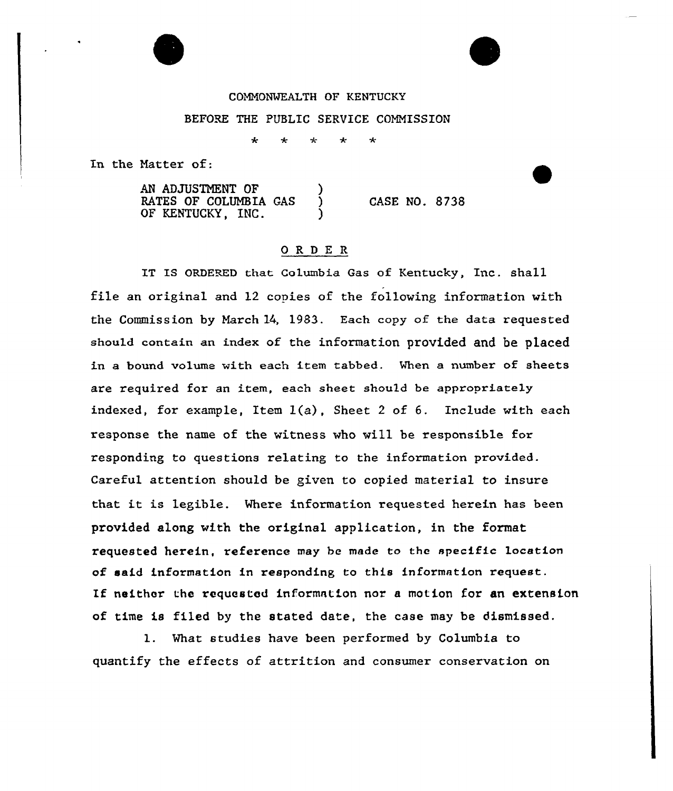## COMMONWEALTH OF KENTUCKY

## BEFORE THE PUBLIC SERVICE COMMISSION

 $\star$ 

In the Natter of:

AN ADJUSTMENT OF RATES OF COLUMBIA GAS OF KENTUCKY, INC. CASE NO. 8738

## ORDE <sup>R</sup>

IT IS ORDERED that Columbia Gas of Kentucky, Inc. shall file an original and 12 copies of the following information with the Commission by March 14, 1983. Each copy of the data requested should contain an index of the information provided and be placed in a bound volume with each item tabbed. When a number of sheets are required for an item, each sheet should be appropriately indexed, for example, Item  $1(a)$ , Sheet 2 of 6. Include with each response the name of the witness who will be responsible for responding to questions relating to the information provided. Careful attention should be given to copied material to insure that it is legible. Where information requested herein has been provided along with the original application, in the format requested herein, reference may be made to the specific location of said information in responding to this information request. If neither the requested information nor <sup>a</sup> motion for an extension of time is filed by the stated date, the case may be dismissed.

1. What studies have been performed by Columbia to quantify the effects of attrition and consumer conservation on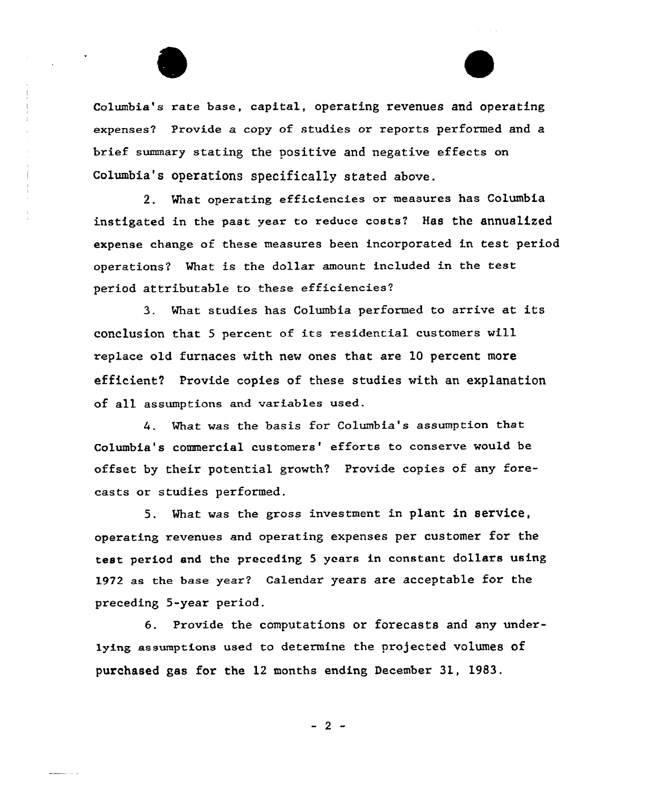

 $\bar{d}$ 

Columbia's rate base, capital, operating revenues and operating expenses? Pxovide a copy of studies or reports performed and a brief summary stating the positive and negative effects on Columbia's operations specifically stated above.

2. What operating efficiencies oz measures has Columbia instigated in the past year to reduce costs? Has the annualized expense change of these measures been incorporated in test period operations? What is the dollar amount included in the test period attributable to these efficiencies?

3. What studies has Columbia performed to arrive at its conclusion that <sup>5</sup> percent of its residential customers will replace old furnaces with new ones that are 1Q percent more efficient? Provide copies of these studies with an explanation of all assumptions and variables used.

What was the basis for Columbia's assumption that  $4.$ Columbia's commercial customers' efforts to conserve would be offset by their potential growth? Provide copies of any forecasts or studies performed.

5. What was the gross investment in plant in service, operating revenues and operating expenses per customer for the test period and the preceding 5 years in constant dollars using 1972 as the base year? Calendar years are acceptable for the preceding 5-year period.

6. Provide the computations or forecasts and any underlying assumptions used to determine the projected volumes of purchased gas for the 12 months ending December 31, 1983.

 $-2$  -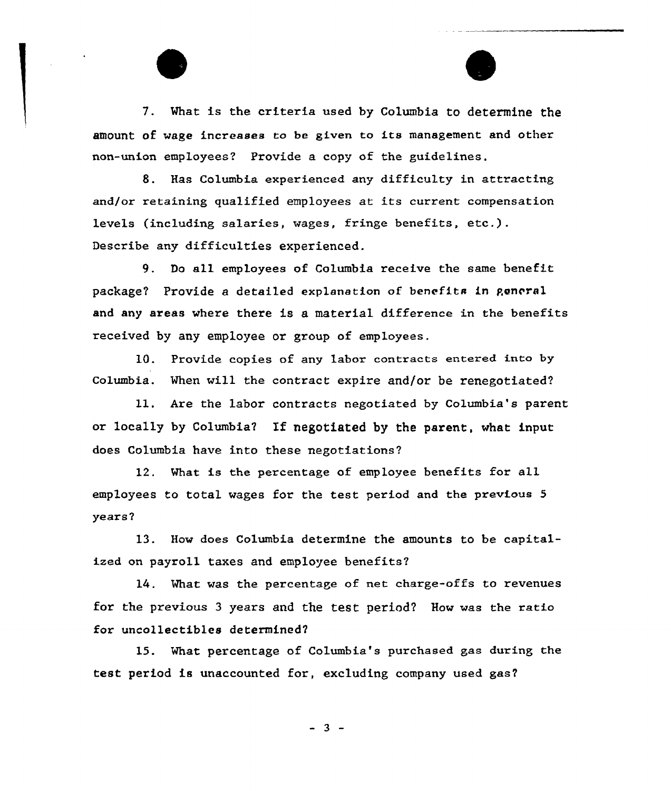7. What is the criteria used by Columbia to determine the amount of wage increases to be given to its management and other non-union employees? Provide a copy of the guidelines.

8. Has Columbia experienced any difficulty in attracting and/or retaining qualified employees at its current compensation levels (including salaries, wages, fringe benefits, etc.). Describe any difficulties experienced.

9. Do all employees of Columbia receive the same benefit package? Provide a detailed explanation of benefits in general and any areas where there is a material difference in the benefits received by any employee or group of employees.

10. Provide copies of any labor contracts entered into by Columbia. When will the contract expire and/or be renegotiated'?

11. Are the labor contracts negotiated by Columbia's parent or locally by Columbia? If negotiated by the parent, what input does Columbia have into these negotiations?

12. What is the percentage of employee benefits for all employees to total wages for the test period and the previous <sup>5</sup> years?

13. How does Columbia determine the amounts to be capitalized on payroll taxes and employee benefits?

14. What vas the percentage of net charge-offs to revenues for the previous 3 years and the test period? How was the ratio for uncollectibles determined?

15. What percentage of Columbia's purchased gas during the test period is unaccounted for, excluding company used gas2

 $-3 -$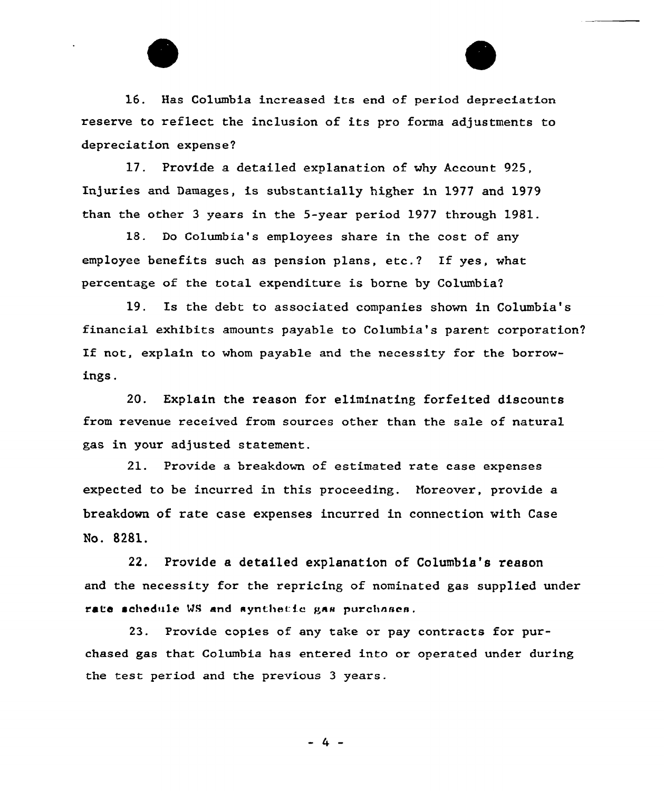16. Has Columbia increased its end of period depreciation reserve to reflect the inclusion of its pro forma adjustments to depreciation expense?

17. Provide a detaiLed expLanation of why Account 925, In]uries and Damages, is substantially higher in 1977 and 1979 than the other 3 years in the 5-year period 1977 through 1981.

18. Do Columbia's employees share in the cost of any employee benefits such as pension plans, etc.? If yes, what percentage of the total expenditure is borne by Columbia?

19. Is the debt to associated companies shown in Columbia's financial exhibits amounts payable to Columbia's parent corporation? If not, explain to whom payable and the necessity for the borrowings.

20. Explain the reason for eliminating forfeited discounts from revenue received from sources other than the sale of natural gas in your adjusted statement.

21. Provide a breakdown of estimated rate case expenses expected to be incurred in this proceeding. Horeover, provide a breakdown of rate case expenses incurred in connection with Case No. 8281.

22. Provide a detailed explanation of Columbia's reason and the necessity for the repricing of nominated gas supplied under rate schedule WS and aynthetic gas purchases.

23. Provide copies of any take or pay contracts for purchased gas that Columbia has entered into or operated under during the test period and the previous 3 years.

- 4 -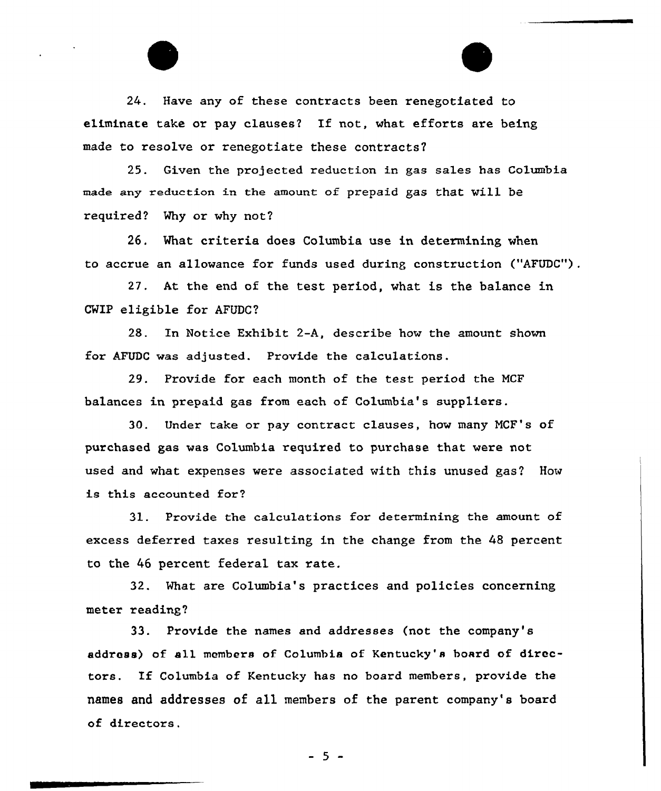24. Have any of these contracts been renegotiated to eliminate take or pay clauses? If not, what efforts are being made to resolve or renegotiate these contracts?

25. Given the projected reduction in gas sales has Columbia made any reduction in the amount of prepaid gas that will be required? Why or why not?

26. What criteria does Columbia use in determining when to accrue an allowance for funds used during construction ("AFUDC")

27. At the end of the test period, what is the balance in CWIP eligible for AFUDC?

28. In Notice Exhibit 2-A, describe how the amount shown for AFUDC was adjusted. Provide the calculations.

29. Provide for each month of the test period the NCF balances in prepaid gas from each of Columbia's suppliers.

30. Under take or pay contract clauses, how many NCF's of purchased gas was Columbia required to purchase that were not used and what expenses were associated with this unused gas? How is this accounted for?

31. Provide the calculations for determining the amount of excess deferred taxes resulting in the change from the 48 percent to the 46 percent federal tax rate.

32. What are Columbia's practices and policies concerning meter reading?

33. Provide the names and addresses (not the company's address) of all members of Columbia of Kentucky's board of directors. If Columbia of Kentucky has no board members, provide the names and addresses of all members of the parent company's board of directors.

 $-5 -$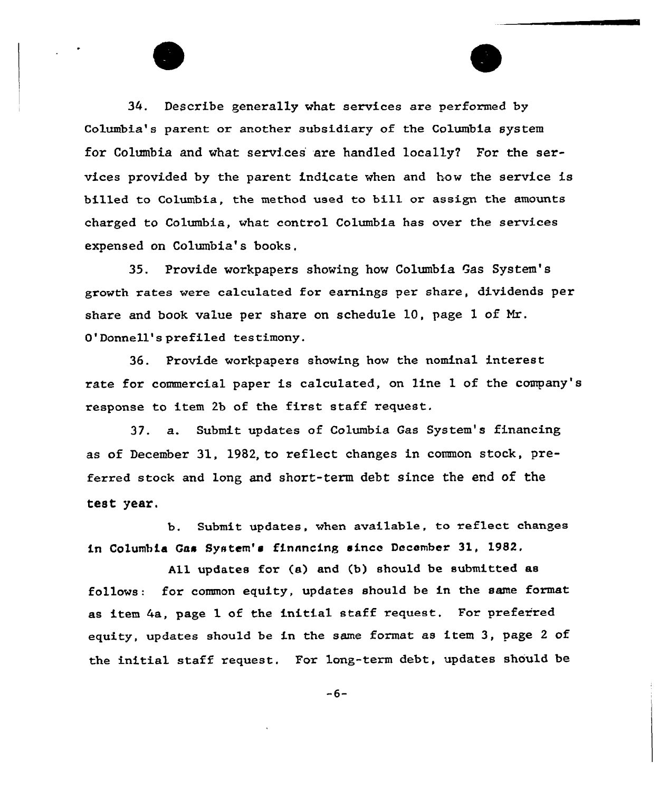34. Describe generally what services are performed by Co1umbia's parent ox another subsidiary of the Columbia system for Columbia and what services are handled locally? For the services provided by the parent indicate when and how the service is billed to Columbia, the method used to bi11 or assign the amounts charged to Columbia, what control Columbia has over the services expensed on Columbia's books,

35. Provide workpapers showing how Columbia Gas System's growth rates were calculated for earnings per share, dividends per share and book value per share on schedule 10, page 1 of Mr. O'Donnell's prefiled testimony.

36. Provide workpapers showing how the nominal interest rate for commercial paper is calculated, on line 1 of the company's response to item 2b of the first staff request.

37. a. Submit updates of Columbia Gas System's financing as of December 31, 1982, to reflect changes in common stock, preferred stock and long and short-term debt since the end of the test year.

b. Submit updates, when avai1able, to reflect changes in Columbia Gas System's financing since December 31, 19S2.

A11 updates for (a) and (b) should be submitted as follows: for common equity, updates should be in the same format as item 4a, page 1 of the initial staff request, For preferred equity, updates should be in the same format as item 3, page <sup>2</sup> of the initial staff request. For long-term debt, updates should be

 $-6-$